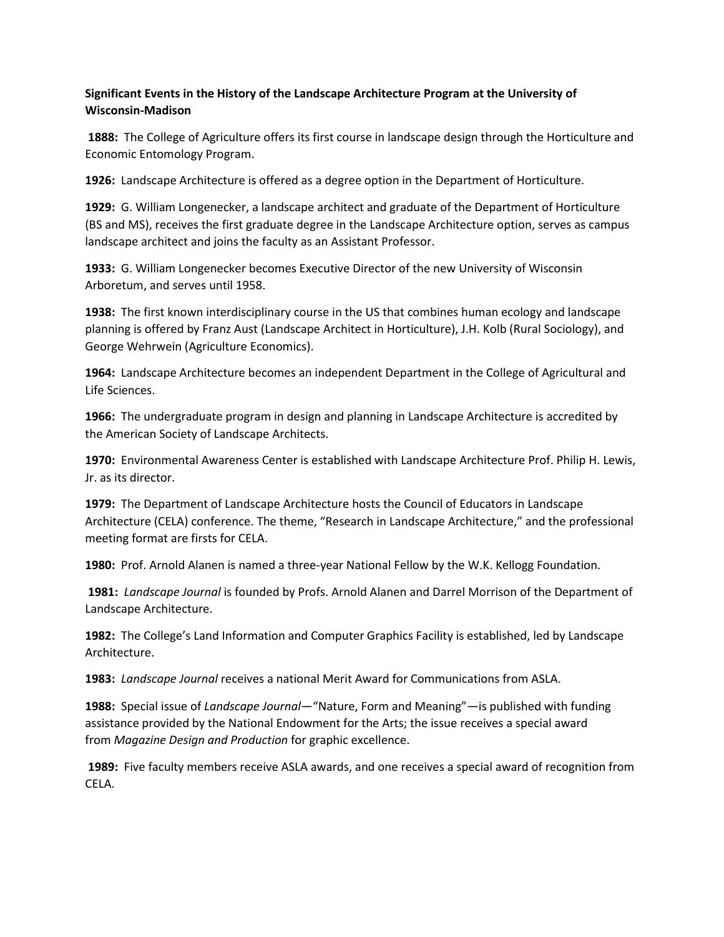## **Significant Events in the History of the Landscape Architecture Program at the University of Wisconsin-Madison**

**1888:** The College of Agriculture offers its first course in landscape design through the Horticulture and Economic Entomology Program.

**1926:** Landscape Architecture is offered as a degree option in the Department of Horticulture.

**1929:** G. William Longenecker, a landscape architect and graduate of the Department of Horticulture (BS and MS), receives the first graduate degree in the Landscape Architecture option, serves as campus landscape architect and joins the faculty as an Assistant Professor.

**1933:** G. William Longenecker becomes Executive Director of the new University of Wisconsin Arboretum, and serves until 1958.

**1938:** The first known interdisciplinary course in the US that combines human ecology and landscape planning is offered by Franz Aust (Landscape Architect in Horticulture), J.H. Kolb (Rural Sociology), and George Wehrwein (Agriculture Economics).

**1964:** Landscape Architecture becomes an independent Department in the College of Agricultural and Life Sciences.

**1966:** The undergraduate program in design and planning in Landscape Architecture is accredited by the American Society of Landscape Architects.

**1970:** Environmental Awareness Center is established with Landscape Architecture Prof. Philip H. Lewis, Jr. as its director.

**1979:** The Department of Landscape Architecture hosts the Council of Educators in Landscape Architecture (CELA) conference. The theme, "Research in Landscape Architecture," and the professional meeting format are firsts for CELA.

**1980:** Prof. Arnold Alanen is named a three-year National Fellow by the W.K. Kellogg Foundation.

**1981:** *Landscape Journal* is founded by Profs. Arnold Alanen and Darrel Morrison of the Department of Landscape Architecture.

**1982:** The College's Land Information and Computer Graphics Facility is established, led by Landscape Architecture.

**1983:** *Landscape Journal* receives a national Merit Award for Communications from ASLA.

**1988:** Special issue of *Landscape Journal*—"Nature, Form and Meaning"—is published with funding assistance provided by the National Endowment for the Arts; the issue receives a special award from *Magazine Design and Production* for graphic excellence.

**1989:** Five faculty members receive ASLA awards, and one receives a special award of recognition from CELA.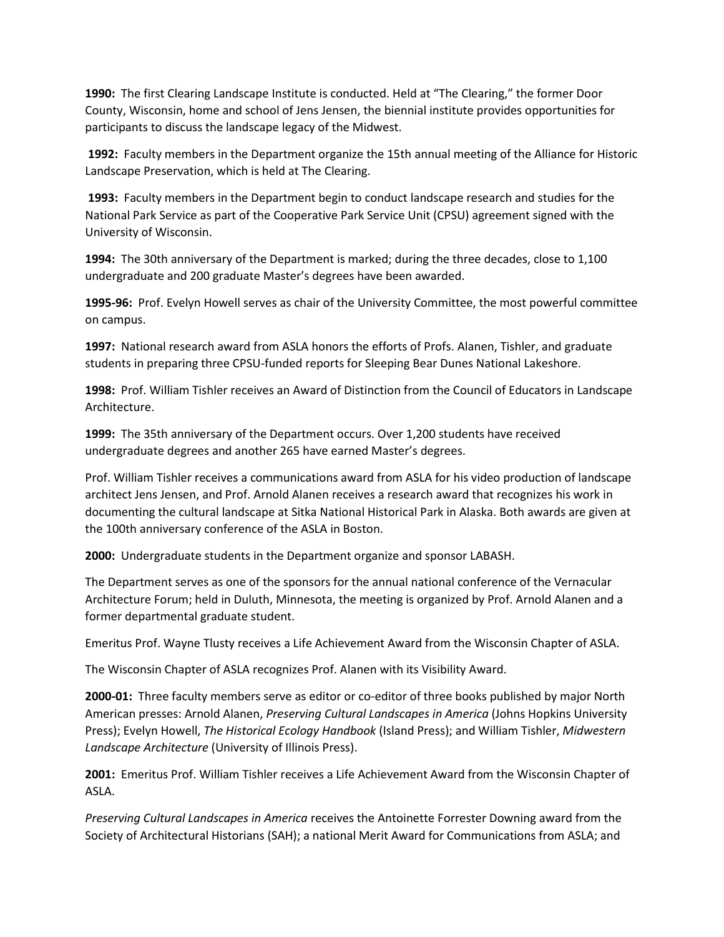**1990:** The first Clearing Landscape Institute is conducted. Held at "The Clearing," the former Door County, Wisconsin, home and school of Jens Jensen, the biennial institute provides opportunities for participants to discuss the landscape legacy of the Midwest.

**1992:** Faculty members in the Department organize the 15th annual meeting of the Alliance for Historic Landscape Preservation, which is held at The Clearing.

**1993:** Faculty members in the Department begin to conduct landscape research and studies for the National Park Service as part of the Cooperative Park Service Unit (CPSU) agreement signed with the University of Wisconsin.

**1994:** The 30th anniversary of the Department is marked; during the three decades, close to 1,100 undergraduate and 200 graduate Master's degrees have been awarded.

**1995-96:** Prof. Evelyn Howell serves as chair of the University Committee, the most powerful committee on campus.

**1997:** National research award from ASLA honors the efforts of Profs. Alanen, Tishler, and graduate students in preparing three CPSU-funded reports for Sleeping Bear Dunes National Lakeshore.

**1998:** Prof. William Tishler receives an Award of Distinction from the Council of Educators in Landscape Architecture.

**1999:** The 35th anniversary of the Department occurs. Over 1,200 students have received undergraduate degrees and another 265 have earned Master's degrees.

Prof. William Tishler receives a communications award from ASLA for his video production of landscape architect Jens Jensen, and Prof. Arnold Alanen receives a research award that recognizes his work in documenting the cultural landscape at Sitka National Historical Park in Alaska. Both awards are given at the 100th anniversary conference of the ASLA in Boston.

**2000:** Undergraduate students in the Department organize and sponsor LABASH.

The Department serves as one of the sponsors for the annual national conference of the Vernacular Architecture Forum; held in Duluth, Minnesota, the meeting is organized by Prof. Arnold Alanen and a former departmental graduate student.

Emeritus Prof. Wayne Tlusty receives a Life Achievement Award from the Wisconsin Chapter of ASLA.

The Wisconsin Chapter of ASLA recognizes Prof. Alanen with its Visibility Award.

**2000-01:** Three faculty members serve as editor or co-editor of three books published by major North American presses: Arnold Alanen, *Preserving Cultural Landscapes in America* (Johns Hopkins University Press); Evelyn Howell, *The Historical Ecology Handbook* (Island Press); and William Tishler, *Midwestern Landscape Architecture* (University of Illinois Press).

**2001:** Emeritus Prof. William Tishler receives a Life Achievement Award from the Wisconsin Chapter of ASLA.

*Preserving Cultural Landscapes in America* receives the Antoinette Forrester Downing award from the Society of Architectural Historians (SAH); a national Merit Award for Communications from ASLA; and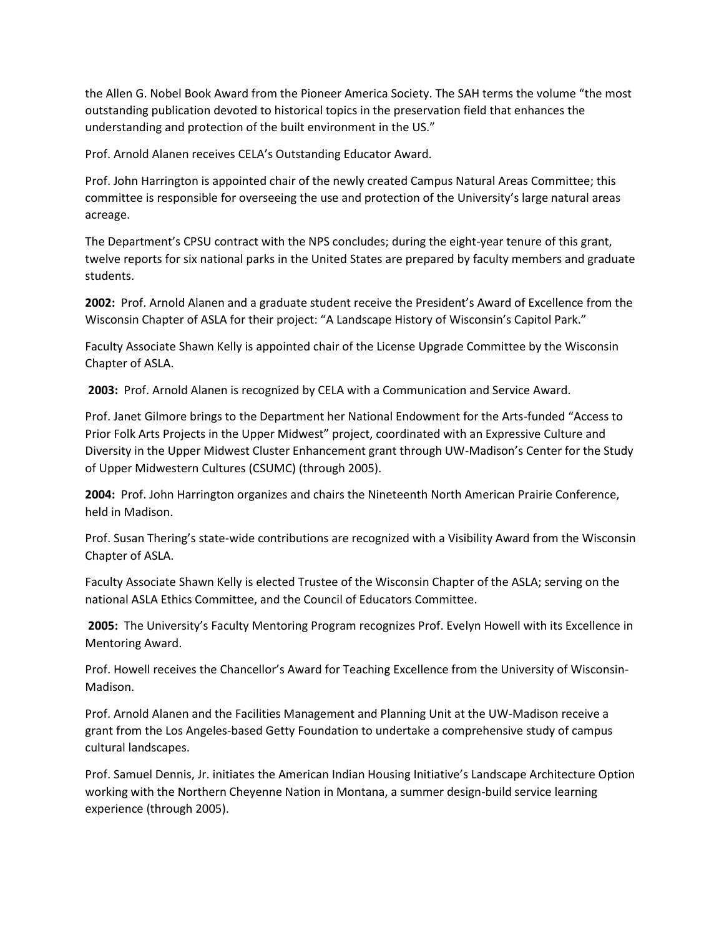the Allen G. Nobel Book Award from the Pioneer America Society. The SAH terms the volume "the most outstanding publication devoted to historical topics in the preservation field that enhances the understanding and protection of the built environment in the US."

Prof. Arnold Alanen receives CELA's Outstanding Educator Award.

Prof. John Harrington is appointed chair of the newly created Campus Natural Areas Committee; this committee is responsible for overseeing the use and protection of the University's large natural areas acreage.

The Department's CPSU contract with the NPS concludes; during the eight-year tenure of this grant, twelve reports for six national parks in the United States are prepared by faculty members and graduate students.

**2002:** Prof. Arnold Alanen and a graduate student receive the President's Award of Excellence from the Wisconsin Chapter of ASLA for their project: "A Landscape History of Wisconsin's Capitol Park."

Faculty Associate Shawn Kelly is appointed chair of the License Upgrade Committee by the Wisconsin Chapter of ASLA.

**2003:** Prof. Arnold Alanen is recognized by CELA with a Communication and Service Award.

Prof. Janet Gilmore brings to the Department her National Endowment for the Arts-funded "Access to Prior Folk Arts Projects in the Upper Midwest" project, coordinated with an Expressive Culture and Diversity in the Upper Midwest Cluster Enhancement grant through UW-Madison's Center for the Study of Upper Midwestern Cultures (CSUMC) (through 2005).

**2004:** Prof. John Harrington organizes and chairs the Nineteenth North American Prairie Conference, held in Madison.

Prof. Susan Thering's state-wide contributions are recognized with a Visibility Award from the Wisconsin Chapter of ASLA.

Faculty Associate Shawn Kelly is elected Trustee of the Wisconsin Chapter of the ASLA; serving on the national ASLA Ethics Committee, and the Council of Educators Committee.

**2005:** The University's Faculty Mentoring Program recognizes Prof. Evelyn Howell with its Excellence in Mentoring Award.

Prof. Howell receives the Chancellor's Award for Teaching Excellence from the University of Wisconsin-Madison.

Prof. Arnold Alanen and the Facilities Management and Planning Unit at the UW-Madison receive a grant from the Los Angeles-based Getty Foundation to undertake a comprehensive study of campus cultural landscapes.

Prof. Samuel Dennis, Jr. initiates the American Indian Housing Initiative's Landscape Architecture Option working with the Northern Cheyenne Nation in Montana, a summer design-build service learning experience (through 2005).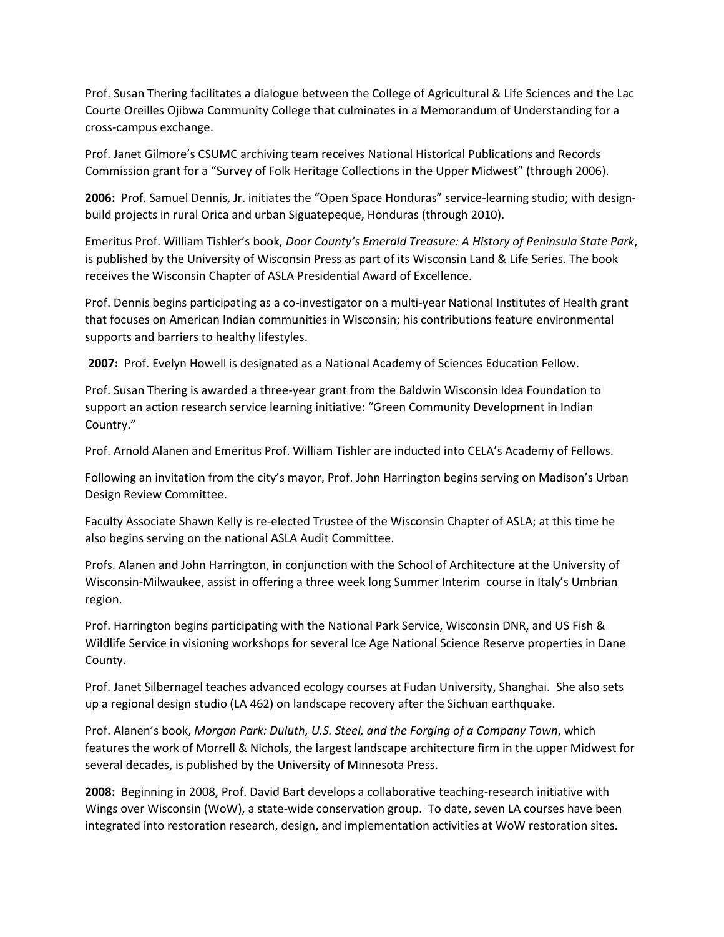Prof. Susan Thering facilitates a dialogue between the College of Agricultural & Life Sciences and the Lac Courte Oreilles Ojibwa Community College that culminates in a Memorandum of Understanding for a cross-campus exchange.

Prof. Janet Gilmore's CSUMC archiving team receives National Historical Publications and Records Commission grant for a "Survey of Folk Heritage Collections in the Upper Midwest" (through 2006).

**2006:** Prof. Samuel Dennis, Jr. initiates the "Open Space Honduras" service-learning studio; with designbuild projects in rural Orica and urban Siguatepeque, Honduras (through 2010).

Emeritus Prof. William Tishler's book, *Door County's Emerald Treasure: A History of Peninsula State Park*, is published by the University of Wisconsin Press as part of its Wisconsin Land & Life Series. The book receives the Wisconsin Chapter of ASLA Presidential Award of Excellence.

Prof. Dennis begins participating as a co-investigator on a multi-year National Institutes of Health grant that focuses on American Indian communities in Wisconsin; his contributions feature environmental supports and barriers to healthy lifestyles.

**2007:** Prof. Evelyn Howell is designated as a National Academy of Sciences Education Fellow.

Prof. Susan Thering is awarded a three-year grant from the Baldwin Wisconsin Idea Foundation to support an action research service learning initiative: "Green Community Development in Indian Country."

Prof. Arnold Alanen and Emeritus Prof. William Tishler are inducted into CELA's Academy of Fellows.

Following an invitation from the city's mayor, Prof. John Harrington begins serving on Madison's Urban Design Review Committee.

Faculty Associate Shawn Kelly is re-elected Trustee of the Wisconsin Chapter of ASLA; at this time he also begins serving on the national ASLA Audit Committee.

Profs. Alanen and John Harrington, in conjunction with the School of Architecture at the University of Wisconsin-Milwaukee, assist in offering a three week long Summer Interim course in Italy's Umbrian region.

Prof. Harrington begins participating with the National Park Service, Wisconsin DNR, and US Fish & Wildlife Service in visioning workshops for several Ice Age National Science Reserve properties in Dane County.

Prof. Janet Silbernagel teaches advanced ecology courses at Fudan University, Shanghai. She also sets up a regional design studio (LA 462) on landscape recovery after the Sichuan earthquake.

Prof. Alanen's book, *Morgan Park: Duluth, U.S. Steel, and the Forging of a Company Town*, which features the work of Morrell & Nichols, the largest landscape architecture firm in the upper Midwest for several decades, is published by the University of Minnesota Press.

**2008:** Beginning in 2008, Prof. David Bart develops a collaborative teaching-research initiative with Wings over Wisconsin (WoW), a state-wide conservation group. To date, seven LA courses have been integrated into restoration research, design, and implementation activities at WoW restoration sites.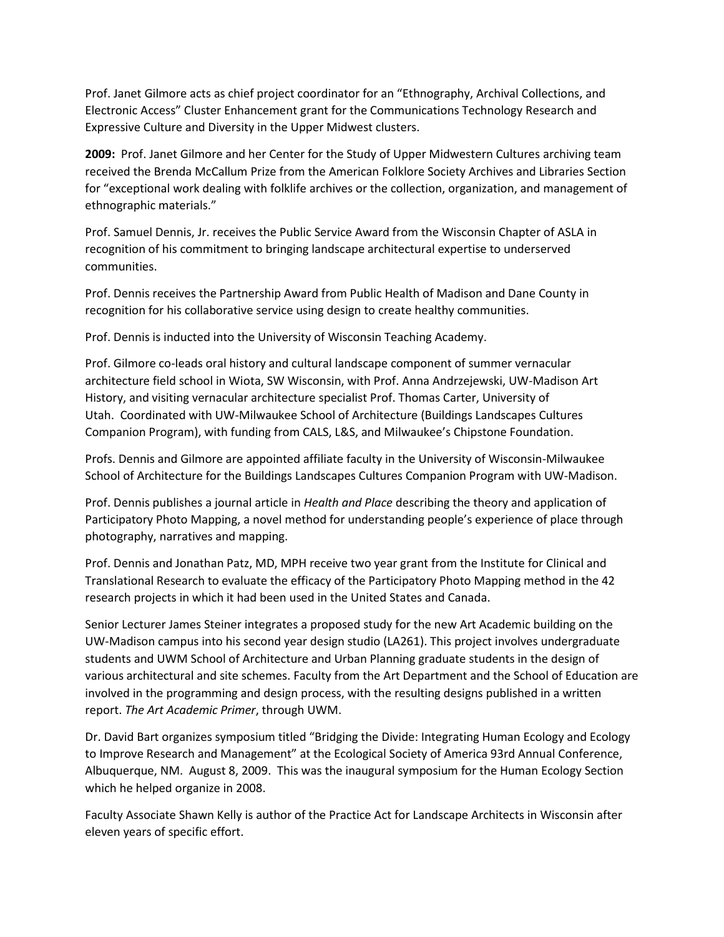Prof. Janet Gilmore acts as chief project coordinator for an "Ethnography, Archival Collections, and Electronic Access" Cluster Enhancement grant for the Communications Technology Research and Expressive Culture and Diversity in the Upper Midwest clusters.

**2009:** Prof. Janet Gilmore and her Center for the Study of Upper Midwestern Cultures archiving team received the Brenda McCallum Prize from the American Folklore Society Archives and Libraries Section for "exceptional work dealing with folklife archives or the collection, organization, and management of ethnographic materials."

Prof. Samuel Dennis, Jr. receives the Public Service Award from the Wisconsin Chapter of ASLA in recognition of his commitment to bringing landscape architectural expertise to underserved communities.

Prof. Dennis receives the Partnership Award from Public Health of Madison and Dane County in recognition for his collaborative service using design to create healthy communities.

Prof. Dennis is inducted into the University of Wisconsin Teaching Academy.

Prof. Gilmore co-leads oral history and cultural landscape component of summer vernacular architecture field school in Wiota, SW Wisconsin, with Prof. Anna Andrzejewski, UW-Madison Art History, and visiting vernacular architecture specialist Prof. Thomas Carter, University of Utah. Coordinated with UW-Milwaukee School of Architecture (Buildings Landscapes Cultures Companion Program), with funding from CALS, L&S, and Milwaukee's Chipstone Foundation.

Profs. Dennis and Gilmore are appointed affiliate faculty in the University of Wisconsin-Milwaukee School of Architecture for the Buildings Landscapes Cultures Companion Program with UW-Madison.

Prof. Dennis publishes a journal article in *Health and Place* describing the theory and application of Participatory Photo Mapping, a novel method for understanding people's experience of place through photography, narratives and mapping.

Prof. Dennis and Jonathan Patz, MD, MPH receive two year grant from the Institute for Clinical and Translational Research to evaluate the efficacy of the Participatory Photo Mapping method in the 42 research projects in which it had been used in the United States and Canada.

Senior Lecturer James Steiner integrates a proposed study for the new Art Academic building on the UW-Madison campus into his second year design studio (LA261). This project involves undergraduate students and UWM School of Architecture and Urban Planning graduate students in the design of various architectural and site schemes. Faculty from the Art Department and the School of Education are involved in the programming and design process, with the resulting designs published in a written report. *The Art Academic Primer*, through UWM.

Dr. David Bart organizes symposium titled "Bridging the Divide: Integrating Human Ecology and Ecology to Improve Research and Management" at the Ecological Society of America 93rd Annual Conference, Albuquerque, NM. August 8, 2009. This was the inaugural symposium for the Human Ecology Section which he helped organize in 2008.

Faculty Associate Shawn Kelly is author of the Practice Act for Landscape Architects in Wisconsin after eleven years of specific effort.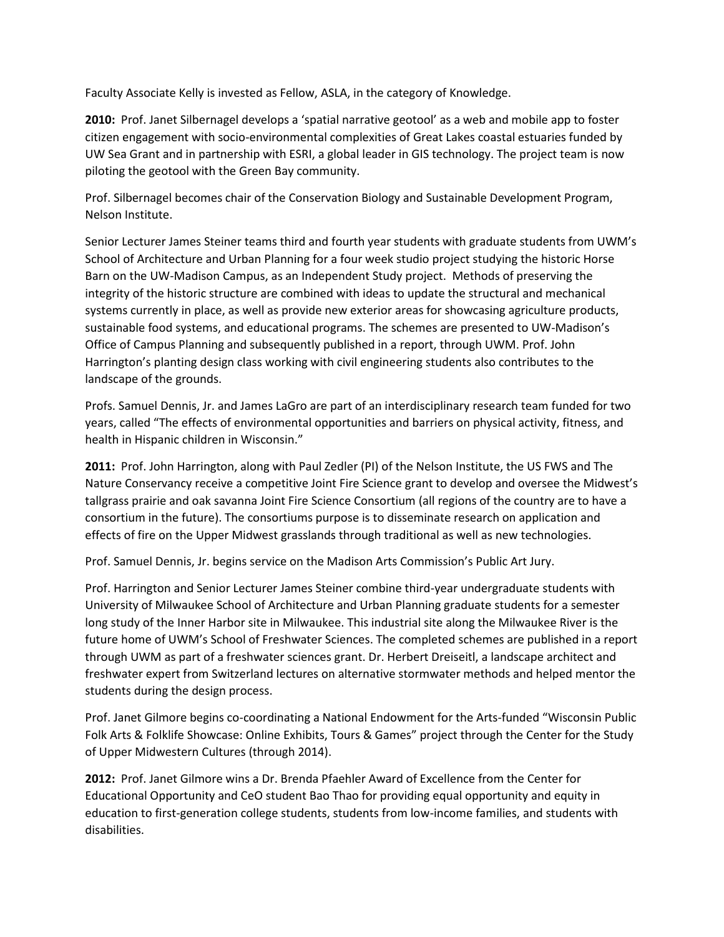Faculty Associate Kelly is invested as Fellow, ASLA, in the category of Knowledge.

**2010:** Prof. Janet Silbernagel develops a 'spatial narrative geotool' as a web and mobile app to foster citizen engagement with socio-environmental complexities of Great Lakes coastal estuaries funded by UW Sea Grant and in partnership with ESRI, a global leader in GIS technology. The project team is now piloting the geotool with the Green Bay community.

Prof. Silbernagel becomes chair of the Conservation Biology and Sustainable Development Program, Nelson Institute.

Senior Lecturer James Steiner teams third and fourth year students with graduate students from UWM's School of Architecture and Urban Planning for a four week studio project studying the historic Horse Barn on the UW-Madison Campus, as an Independent Study project. Methods of preserving the integrity of the historic structure are combined with ideas to update the structural and mechanical systems currently in place, as well as provide new exterior areas for showcasing agriculture products, sustainable food systems, and educational programs. The schemes are presented to UW-Madison's Office of Campus Planning and subsequently published in a report, through UWM. Prof. John Harrington's planting design class working with civil engineering students also contributes to the landscape of the grounds.

Profs. Samuel Dennis, Jr. and James LaGro are part of an interdisciplinary research team funded for two years, called "The effects of environmental opportunities and barriers on physical activity, fitness, and health in Hispanic children in Wisconsin."

**2011:** Prof. John Harrington, along with Paul Zedler (PI) of the Nelson Institute, the US FWS and The Nature Conservancy receive a competitive Joint Fire Science grant to develop and oversee the Midwest's tallgrass prairie and oak savanna Joint Fire Science Consortium (all regions of the country are to have a consortium in the future). The consortiums purpose is to disseminate research on application and effects of fire on the Upper Midwest grasslands through traditional as well as new technologies.

Prof. Samuel Dennis, Jr. begins service on the Madison Arts Commission's Public Art Jury.

Prof. Harrington and Senior Lecturer James Steiner combine third-year undergraduate students with University of Milwaukee School of Architecture and Urban Planning graduate students for a semester long study of the Inner Harbor site in Milwaukee. This industrial site along the Milwaukee River is the future home of UWM's School of Freshwater Sciences. The completed schemes are published in a report through UWM as part of a freshwater sciences grant. Dr. Herbert Dreiseitl, a landscape architect and freshwater expert from Switzerland lectures on alternative stormwater methods and helped mentor the students during the design process.

Prof. Janet Gilmore begins co-coordinating a National Endowment for the Arts-funded "Wisconsin Public Folk Arts & Folklife Showcase: Online Exhibits, Tours & Games" project through the Center for the Study of Upper Midwestern Cultures (through 2014).

**2012:** Prof. Janet Gilmore wins a Dr. Brenda Pfaehler Award of Excellence from the Center for Educational Opportunity and CeO student Bao Thao for providing equal opportunity and equity in education to first-generation college students, students from low-income families, and students with disabilities.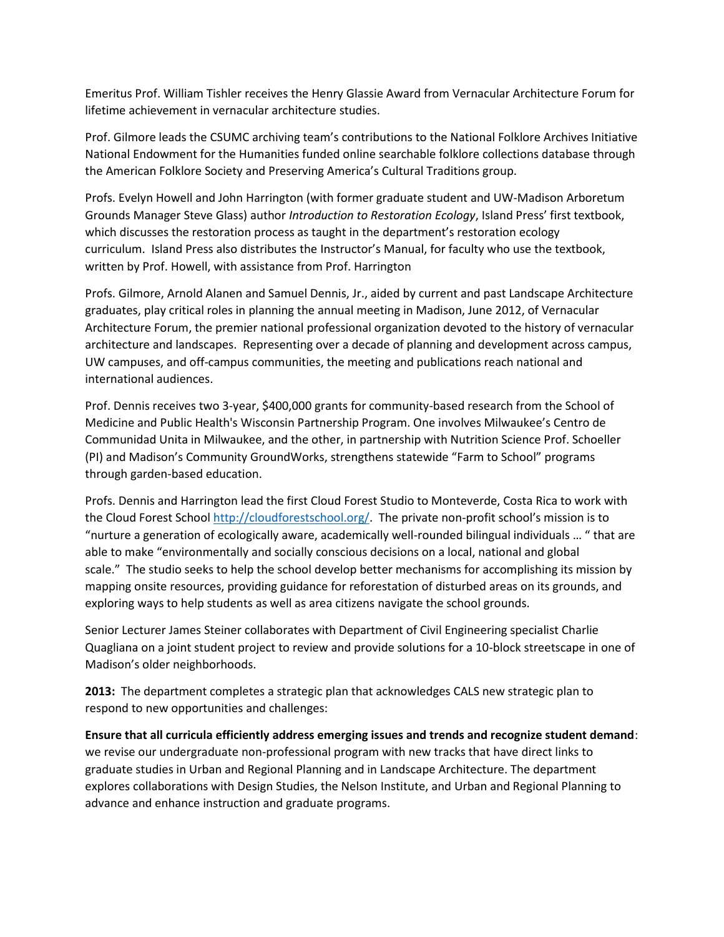Emeritus Prof. William Tishler receives the Henry Glassie Award from Vernacular Architecture Forum for lifetime achievement in vernacular architecture studies.

Prof. Gilmore leads the CSUMC archiving team's contributions to the National Folklore Archives Initiative National Endowment for the Humanities funded online searchable folklore collections database through the American Folklore Society and Preserving America's Cultural Traditions group.

Profs. Evelyn Howell and John Harrington (with former graduate student and UW-Madison Arboretum Grounds Manager Steve Glass) author *Introduction to Restoration Ecology*, Island Press' first textbook, which discusses the restoration process as taught in the department's restoration ecology curriculum. Island Press also distributes the Instructor's Manual, for faculty who use the textbook, written by Prof. Howell, with assistance from Prof. Harrington

Profs. Gilmore, Arnold Alanen and Samuel Dennis, Jr., aided by current and past Landscape Architecture graduates, play critical roles in planning the annual meeting in Madison, June 2012, of Vernacular Architecture Forum, the premier national professional organization devoted to the history of vernacular architecture and landscapes. Representing over a decade of planning and development across campus, UW campuses, and off-campus communities, the meeting and publications reach national and international audiences.

Prof. Dennis receives two 3-year, \$400,000 grants for community-based research from the School of Medicine and Public Health's Wisconsin Partnership Program. One involves Milwaukee's Centro de Communidad Unita in Milwaukee, and the other, in partnership with Nutrition Science Prof. Schoeller (PI) and Madison's Community GroundWorks, strengthens statewide "Farm to School" programs through garden-based education.

Profs. Dennis and Harrington lead the first Cloud Forest Studio to Monteverde, Costa Rica to work with the Cloud Forest School [http://cloudforestschool.org/.](http://cloudforestschool.org/) The private non-profit school's mission is to "nurture a generation of ecologically aware, academically well-rounded bilingual individuals … " that are able to make "environmentally and socially conscious decisions on a local, national and global scale." The studio seeks to help the school develop better mechanisms for accomplishing its mission by mapping onsite resources, providing guidance for reforestation of disturbed areas on its grounds, and exploring ways to help students as well as area citizens navigate the school grounds.

Senior Lecturer James Steiner collaborates with Department of Civil Engineering specialist Charlie Quagliana on a joint student project to review and provide solutions for a 10-block streetscape in one of Madison's older neighborhoods.

**2013:** The department completes a strategic plan that acknowledges CALS new strategic plan to respond to new opportunities and challenges:

**Ensure that all curricula efficiently address emerging issues and trends and recognize student demand**: we revise our undergraduate non-professional program with new tracks that have direct links to graduate studies in Urban and Regional Planning and in Landscape Architecture. The department explores collaborations with Design Studies, the Nelson Institute, and Urban and Regional Planning to advance and enhance instruction and graduate programs.